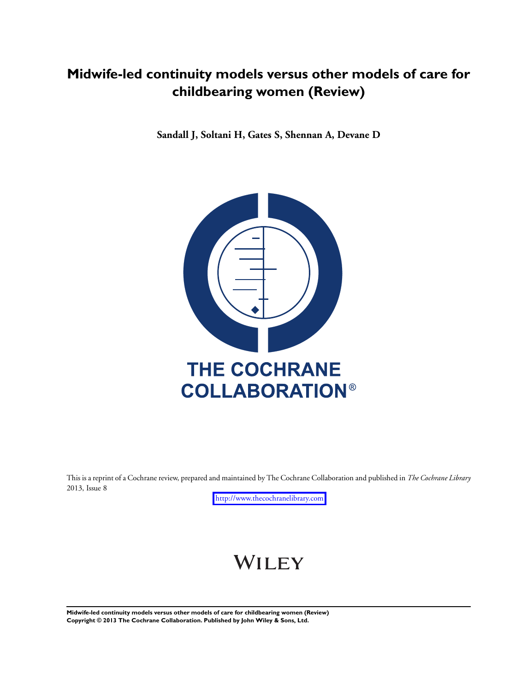# **Midwife-led continuity models versus other models of care for childbearing women (Review)**

**Sandall J, Soltani H, Gates S, Shennan A, Devane D**



This is a reprint of a Cochrane review, prepared and maintained by The Cochrane Collaboration and published in *The Cochrane Library* 2013, Issue 8

<http://www.thecochranelibrary.com>

# WILEY

**Midwife-led continuity models versus other models of care for childbearing women (Review) Copyright © 2013 The Cochrane Collaboration. Published by John Wiley & Sons, Ltd.**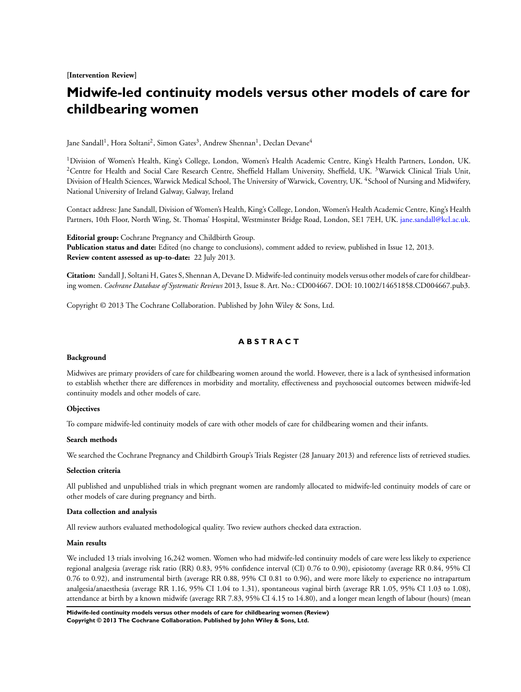**[Intervention Review]**

# **Midwife-led continuity models versus other models of care for childbearing women**

Jane Sandall<sup>1</sup>, Hora Soltani<sup>2</sup>, Simon Gates<sup>3</sup>, Andrew Shennan<sup>1</sup>, Declan Devane<sup>4</sup>

<sup>1</sup> Division of Women's Health, King's College, London, Women's Health Academic Centre, King's Health Partners, London, UK. <sup>2</sup>Centre for Health and Social Care Research Centre, Sheffield Hallam University, Sheffield, UK. <sup>3</sup>Warwick Clinical Trials Unit, Division of Health Sciences, Warwick Medical School, The University of Warwick, Coventry, UK. <sup>4</sup>School of Nursing and Midwifery, National University of Ireland Galway, Galway, Ireland

Contact address: Jane Sandall, Division of Women's Health, King's College, London, Women's Health Academic Centre, King's Health Partners, 10th Floor, North Wing, St. Thomas' Hospital, Westminster Bridge Road, London, SE1 7EH, UK. [jane.sandall@kcl.ac.uk.](mailto:jane.sandall@kcl.ac.uk)

**Editorial group:** Cochrane Pregnancy and Childbirth Group. **Publication status and date:** Edited (no change to conclusions), comment added to review, published in Issue 12, 2013. **Review content assessed as up-to-date:** 22 July 2013.

**Citation:** Sandall J, Soltani H, Gates S, Shennan A, Devane D. Midwife-led continuity models versus other models of care for childbearing women. *Cochrane Database of Systematic Reviews* 2013, Issue 8. Art. No.: CD004667. DOI: 10.1002/14651858.CD004667.pub3.

Copyright © 2013 The Cochrane Collaboration. Published by John Wiley & Sons, Ltd.

# **A B S T R A C T**

## **Background**

Midwives are primary providers of care for childbearing women around the world. However, there is a lack of synthesised information to establish whether there are differences in morbidity and mortality, effectiveness and psychosocial outcomes between midwife-led continuity models and other models of care.

#### **Objectives**

To compare midwife-led continuity models of care with other models of care for childbearing women and their infants.

#### **Search methods**

We searched the Cochrane Pregnancy and Childbirth Group's Trials Register (28 January 2013) and reference lists of retrieved studies.

#### **Selection criteria**

All published and unpublished trials in which pregnant women are randomly allocated to midwife-led continuity models of care or other models of care during pregnancy and birth.

#### **Data collection and analysis**

All review authors evaluated methodological quality. Two review authors checked data extraction.

#### **Main results**

We included 13 trials involving 16,242 women. Women who had midwife-led continuity models of care were less likely to experience regional analgesia (average risk ratio (RR) 0.83, 95% confidence interval (CI) 0.76 to 0.90), episiotomy (average RR 0.84, 95% CI 0.76 to 0.92), and instrumental birth (average RR 0.88, 95% CI 0.81 to 0.96), and were more likely to experience no intrapartum analgesia/anaesthesia (average RR 1.16, 95% CI 1.04 to 1.31), spontaneous vaginal birth (average RR 1.05, 95% CI 1.03 to 1.08), attendance at birth by a known midwife (average RR 7.83, 95% CI 4.15 to 14.80), and a longer mean length of labour (hours) (mean